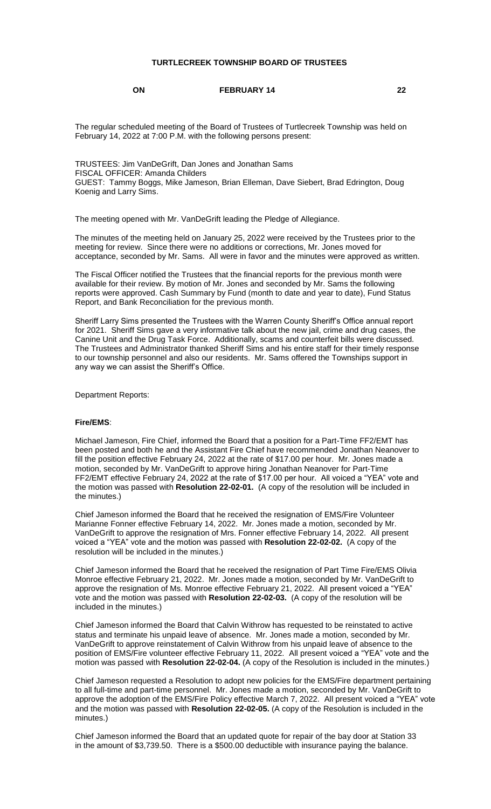## **TURTLECREEK TOWNSHIP BOARD OF TRUSTEES**

#### **ON FEBRUARY 14 22**

The regular scheduled meeting of the Board of Trustees of Turtlecreek Township was held on February 14, 2022 at 7:00 P.M. with the following persons present:

TRUSTEES: Jim VanDeGrift, Dan Jones and Jonathan Sams FISCAL OFFICER: Amanda Childers GUEST: Tammy Boggs, Mike Jameson, Brian Elleman, Dave Siebert, Brad Edrington, Doug Koenig and Larry Sims.

The meeting opened with Mr. VanDeGrift leading the Pledge of Allegiance.

The minutes of the meeting held on January 25, 2022 were received by the Trustees prior to the meeting for review. Since there were no additions or corrections, Mr. Jones moved for acceptance, seconded by Mr. Sams. All were in favor and the minutes were approved as written.

The Fiscal Officer notified the Trustees that the financial reports for the previous month were available for their review. By motion of Mr. Jones and seconded by Mr. Sams the following reports were approved. Cash Summary by Fund (month to date and year to date), Fund Status Report, and Bank Reconciliation for the previous month.

Sheriff Larry Sims presented the Trustees with the Warren County Sheriff's Office annual report for 2021. Sheriff Sims gave a very informative talk about the new jail, crime and drug cases, the Canine Unit and the Drug Task Force. Additionally, scams and counterfeit bills were discussed. The Trustees and Administrator thanked Sheriff Sims and his entire staff for their timely response to our township personnel and also our residents. Mr. Sams offered the Townships support in any way we can assist the Sheriff's Office.

Department Reports:

#### **Fire/EMS**:

Michael Jameson, Fire Chief, informed the Board that a position for a Part-Time FF2/EMT has been posted and both he and the Assistant Fire Chief have recommended Jonathan Neanover to fill the position effective February 24, 2022 at the rate of \$17.00 per hour. Mr. Jones made a motion, seconded by Mr. VanDeGrift to approve hiring Jonathan Neanover for Part-Time FF2/EMT effective February 24, 2022 at the rate of \$17.00 per hour. All voiced a "YEA" vote and the motion was passed with **Resolution 22-02-01.** (A copy of the resolution will be included in the minutes.)

Chief Jameson informed the Board that he received the resignation of EMS/Fire Volunteer Marianne Fonner effective February 14, 2022. Mr. Jones made a motion, seconded by Mr. VanDeGrift to approve the resignation of Mrs. Fonner effective February 14, 2022. All present voiced a "YEA" vote and the motion was passed with **Resolution 22-02-02.** (A copy of the resolution will be included in the minutes.)

Chief Jameson informed the Board that he received the resignation of Part Time Fire/EMS Olivia Monroe effective February 21, 2022. Mr. Jones made a motion, seconded by Mr. VanDeGrift to approve the resignation of Ms. Monroe effective February 21, 2022. All present voiced a "YEA" vote and the motion was passed with **Resolution 22-02-03.** (A copy of the resolution will be included in the minutes.)

Chief Jameson informed the Board that Calvin Withrow has requested to be reinstated to active status and terminate his unpaid leave of absence. Mr. Jones made a motion, seconded by Mr. VanDeGrift to approve reinstatement of Calvin Withrow from his unpaid leave of absence to the position of EMS/Fire volunteer effective February 11, 2022. All present voiced a "YEA" vote and the motion was passed with **Resolution 22-02-04.** (A copy of the Resolution is included in the minutes.)

Chief Jameson requested a Resolution to adopt new policies for the EMS/Fire department pertaining to all full-time and part-time personnel. Mr. Jones made a motion, seconded by Mr. VanDeGrift to approve the adoption of the EMS/Fire Policy effective March 7, 2022. All present voiced a "YEA" vote and the motion was passed with **Resolution 22-02-05.** (A copy of the Resolution is included in the minutes.)

Chief Jameson informed the Board that an updated quote for repair of the bay door at Station 33 in the amount of \$3,739.50. There is a \$500.00 deductible with insurance paying the balance.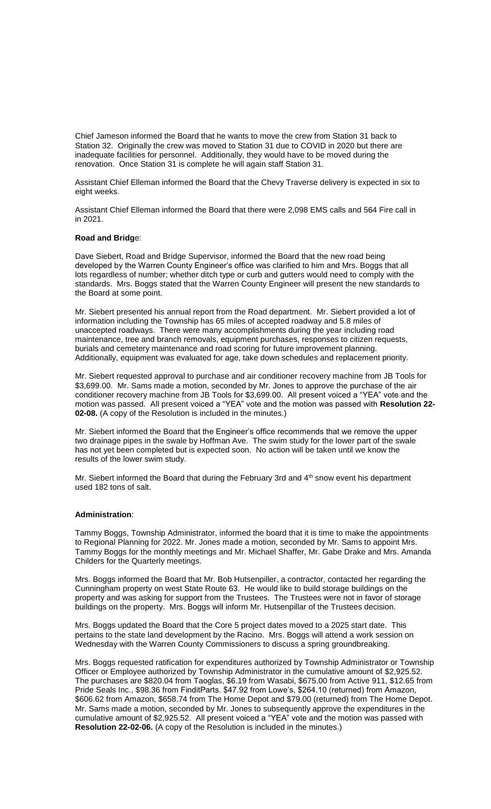Chief Jameson informed the Board that he wants to move the crew from Station 31 back to Station 32. Originally the crew was moved to Station 31 due to COVID in 2020 but there are inadequate facilities for personnel. Additionally, they would have to be moved during the renovation. Once Station 31 is complete he will again staff Station 31.

Assistant Chief Elleman informed the Board that the Chevy Traverse delivery is expected in six to eight weeks.

Assistant Chief Elleman informed the Board that there were 2,098 EMS calls and 564 Fire call in in 2021.

### **Road and Bridg**e:

Dave Siebert, Road and Bridge Supervisor, informed the Board that the new road being developed by the Warren County Engineer's office was clarified to him and Mrs. Boggs that all lots regardless of number; whether ditch type or curb and gutters would need to comply with the standards. Mrs. Boggs stated that the Warren County Engineer will present the new standards to the Board at some point.

Mr. Siebert presented his annual report from the Road department. Mr. Siebert provided a lot of information including the Township has 65 miles of accepted roadway and 5.8 miles of unaccepted roadways. There were many accomplishments during the year including road maintenance, tree and branch removals, equipment purchases, responses to citizen requests, burials and cemetery maintenance and road scoring for future improvement planning. Additionally, equipment was evaluated for age, take down schedules and replacement priority.

Mr. Siebert requested approval to purchase and air conditioner recovery machine from JB Tools for \$3,699.00. Mr. Sams made a motion, seconded by Mr. Jones to approve the purchase of the air conditioner recovery machine from JB Tools for \$3,699.00. All present voiced a "YEA" vote and the motion was passed. All present voiced a "YEA" vote and the motion was passed with **Resolution 22- 02-08.** (A copy of the Resolution is included in the minutes.)

Mr. Siebert informed the Board that the Engineer's office recommends that we remove the upper two drainage pipes in the swale by Hoffman Ave. The swim study for the lower part of the swale has not yet been completed but is expected soon. No action will be taken until we know the results of the lower swim study.

Mr. Siebert informed the Board that during the February 3rd and  $4<sup>th</sup>$  snow event his department used 182 tons of salt.

#### **Administration**:

Tammy Boggs, Township Administrator, informed the board that it is time to make the appointments to Regional Planning for 2022. Mr. Jones made a motion, seconded by Mr. Sams to appoint Mrs. Tammy Boggs for the monthly meetings and Mr. Michael Shaffer, Mr. Gabe Drake and Mrs. Amanda Childers for the Quarterly meetings.

Mrs. Boggs informed the Board that Mr. Bob Hutsenpiller, a contractor, contacted her regarding the Cunningham property on west State Route 63. He would like to build storage buildings on the property and was asking for support from the Trustees. The Trustees were not in favor of storage buildings on the property. Mrs. Boggs will inform Mr. Hutsenpillar of the Trustees decision.

Mrs. Boggs updated the Board that the Core 5 project dates moved to a 2025 start date. This pertains to the state land development by the Racino. Mrs. Boggs will attend a work session on Wednesday with the Warren County Commissioners to discuss a spring groundbreaking.

Mrs. Boggs requested ratification for expenditures authorized by Township Administrator or Township Officer or Employee authorized by Township Administrator in the cumulative amount of \$2,925.52. The purchases are \$820.04 from Taoglas, \$6.19 from Wasabi, \$675.00 from Active 911, \$12.65 from Pride Seals Inc., \$98.36 from FinditParts. \$47.92 from Lowe's, \$264.10 (returned) from Amazon, \$606.62 from Amazon, \$658.74 from The Home Depot and \$79.00 (returned) from The Home Depot. Mr. Sams made a motion, seconded by Mr. Jones to subsequently approve the expenditures in the cumulative amount of \$2,925.52. All present voiced a "YEA" vote and the motion was passed with **Resolution 22-02-06.** (A copy of the Resolution is included in the minutes.)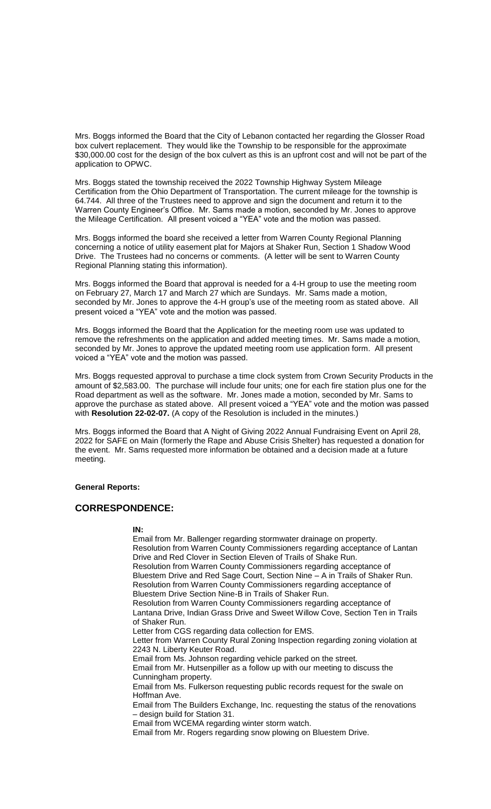Mrs. Boggs informed the Board that the City of Lebanon contacted her regarding the Glosser Road box culvert replacement. They would like the Township to be responsible for the approximate \$30,000.00 cost for the design of the box culvert as this is an upfront cost and will not be part of the application to OPWC.

Mrs. Boggs stated the township received the 2022 Township Highway System Mileage Certification from the Ohio Department of Transportation. The current mileage for the township is 64.744. All three of the Trustees need to approve and sign the document and return it to the Warren County Engineer's Office. Mr. Sams made a motion, seconded by Mr. Jones to approve the Mileage Certification. All present voiced a "YEA" vote and the motion was passed.

Mrs. Boggs informed the board she received a letter from Warren County Regional Planning concerning a notice of utility easement plat for Majors at Shaker Run, Section 1 Shadow Wood Drive. The Trustees had no concerns or comments. (A letter will be sent to Warren County Regional Planning stating this information).

Mrs. Boggs informed the Board that approval is needed for a 4-H group to use the meeting room on February 27, March 17 and March 27 which are Sundays. Mr. Sams made a motion, seconded by Mr. Jones to approve the 4-H group's use of the meeting room as stated above. All present voiced a "YEA" vote and the motion was passed.

Mrs. Boggs informed the Board that the Application for the meeting room use was updated to remove the refreshments on the application and added meeting times. Mr. Sams made a motion, seconded by Mr. Jones to approve the updated meeting room use application form. All present voiced a "YEA" vote and the motion was passed.

Mrs. Boggs requested approval to purchase a time clock system from Crown Security Products in the amount of \$2,583.00. The purchase will include four units; one for each fire station plus one for the Road department as well as the software. Mr. Jones made a motion, seconded by Mr. Sams to approve the purchase as stated above. All present voiced a "YEA" vote and the motion was passed with **Resolution 22-02-07.** (A copy of the Resolution is included in the minutes.)

Mrs. Boggs informed the Board that A Night of Giving 2022 Annual Fundraising Event on April 28, 2022 for SAFE on Main (formerly the Rape and Abuse Crisis Shelter) has requested a donation for the event. Mr. Sams requested more information be obtained and a decision made at a future meeting.

#### **General Reports:**

## **CORRESPONDENCE:**

#### **IN:**

Email from Mr. Ballenger regarding stormwater drainage on property. Resolution from Warren County Commissioners regarding acceptance of Lantan Drive and Red Clover in Section Eleven of Trails of Shake Run. Resolution from Warren County Commissioners regarding acceptance of Bluestem Drive and Red Sage Court, Section Nine – A in Trails of Shaker Run. Resolution from Warren County Commissioners regarding acceptance of Bluestem Drive Section Nine-B in Trails of Shaker Run. Resolution from Warren County Commissioners regarding acceptance of Lantana Drive, Indian Grass Drive and Sweet Willow Cove, Section Ten in Trails of Shaker Run. Letter from CGS regarding data collection for EMS. Letter from Warren County Rural Zoning Inspection regarding zoning violation at 2243 N. Liberty Keuter Road. Email from Ms. Johnson regarding vehicle parked on the street. Email from Mr. Hutsenpiller as a follow up with our meeting to discuss the Cunningham property. Email from Ms. Fulkerson requesting public records request for the swale on Hoffman Ave. Email from The Builders Exchange, Inc. requesting the status of the renovations – design build for Station 31. Email from WCEMA regarding winter storm watch. Email from Mr. Rogers regarding snow plowing on Bluestem Drive.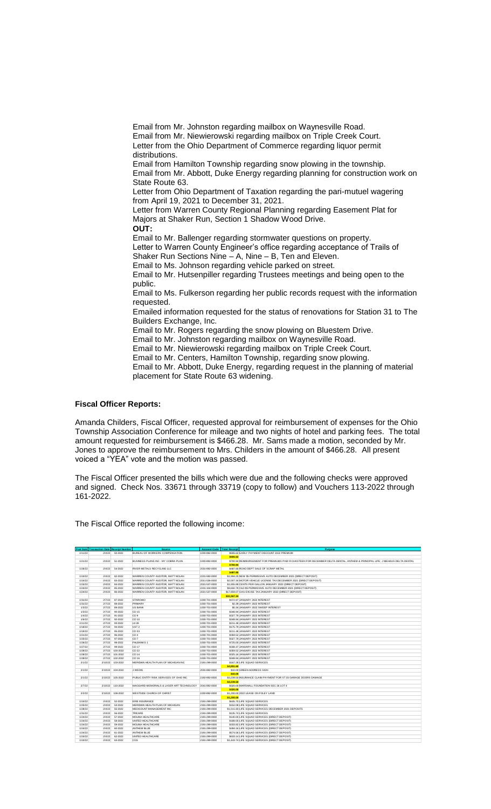Email from Mr. Johnston regarding mailbox on Waynesville Road. Email from Mr. Niewierowski regarding mailbox on Triple Creek Court. Letter from the Ohio Department of Commerce regarding liquor permit distributions. Email from Hamilton Township regarding snow plowing in the township. Email from Mr. Abbott, Duke Energy regarding planning for construction work on State Route 63. Letter from Ohio Department of Taxation regarding the pari-mutuel wagering from April 19, 2021 to December 31, 2021. Letter from Warren County Regional Planning regarding Easement Plat for Majors at Shaker Run, Section 1 Shadow Wood Drive. **OUT:** Email to Mr. Ballenger regarding stormwater questions on property. Letter to Warren County Engineer's office regarding acceptance of Trails of Shaker Run Sections Nine – A, Nine – B, Ten and Eleven. Email to Ms. Johnson regarding vehicle parked on street. Email to Mr. Hutsenpiller regarding Trustees meetings and being open to the public. Email to Ms. Fulkerson regarding her public records request with the information requested. Emailed information requested for the status of renovations for Station 31 to The Builders Exchange, Inc. Email to Mr. Rogers regarding the snow plowing on Bluestem Drive. Email to Mr. Johnston regarding mailbox on Waynesville Road. Email to Mr. Niewierowski regarding mailbox on Triple Creek Court. Email to Mr. Centers, Hamilton Township, regarding snow plowing. Email to Mr. Abbott, Duke Energy, regarding request in the planning of material placement for State Route 63 widening.

### **Fiscal Officer Reports:**

Amanda Childers, Fiscal Officer, requested approval for reimbursement of expenses for the Ohio Township Association Conference for mileage and two nights of hotel and parking fees. The total amount requested for reimbursement is \$466.28. Mr. Sams made a motion, seconded by Mr. Jones to approve the reimbursement to Mrs. Childers in the amount of \$466.28. All present voiced a "YEA" vote and the motion was passed.

The Fiscal Officer presented the bills which were due and the following checks were approved and signed. Check Nos. 33671 through 33719 (copy to follow) and Vouchers 113-2022 through 161-2022.

The Fiscal Office reported the following income:

|                    | <b>Post Date Transaction Date Receipt Number</b> |                    | Source                                   | <b>Account Code</b>            | <b>Total Receipt</b> | Purpose                                                                                                                        |
|--------------------|--------------------------------------------------|--------------------|------------------------------------------|--------------------------------|----------------------|--------------------------------------------------------------------------------------------------------------------------------|
| 1/11/22            | 2/4/22                                           | 50-2022            | BUREAU OF WORKERS COMPENSATION           | 1000-892-0000                  |                      | \$606.62 EARLY PAYMENT DISCOUNT 2022 PREMIUM                                                                                   |
|                    |                                                  |                    |                                          |                                | \$606.62             |                                                                                                                                |
| 1/21/22            | 2/4/22                                           | 51-2022            | BUSINESS PLANS INC - MY COBRA PLAN       | 1000-892-0000                  |                      | \$700.94 REIMBURSEMENT FOR PREMIUMS PAID R CHASTEEN FOR DECEMBER DELTA DENTAL. ANTHEM & PRINCIPAL LIFE: J NIEHAUS DELTA DENTAL |
|                    |                                                  |                    |                                          |                                | \$700.94             |                                                                                                                                |
| 1/26/22            | 2/4/22                                           | 54-2022            | RIVER METALS RECYCLING LLC               | 2031-892-0000                  |                      | \$487.80 ROAD DEPT SALE OF SCRAP METAL                                                                                         |
|                    |                                                  |                    |                                          |                                | <b>S487.80</b>       |                                                                                                                                |
| 1/24/22            | 2/4/22                                           | 82-2022            | WARREN COUNTY AUDITOR. MATT NOLAN        | 2231-592-0000                  |                      | \$1,994,25 NEW \$5 PERMISSIVE AUTO DECEMBER 2021 (DIRECT DEPOSIT)                                                              |
| 1/24/22            | 2/4/22                                           | 83-2022            | WARREN COUNTY AUDITOR. MATT NOLAN        | 2011-536-0000                  |                      | \$2.007.34 MOTOR VEHICLE LICENSE TAX DECEMBER 2021 (DIRECT DEPOSIT)                                                            |
| 1/24/22            | 2/4/22                                           | 84-2022            | WARREN COUNTY AUDITOR. MATT NOLAN        | 2021-537-0000                  |                      | \$1,855,89 CENTS PER GALLON JANUARY 2022 (DIRECT DEPOSIT)                                                                      |
| 1/24/22            | 2/4/22                                           | 85-2022            | WARREN COUNTY AUDITOR. MATT NOLAN        | 2231-104-0000                  |                      | \$8.650.79 OLD \$5 PERMISSIVE AUTO DECEMBER 2021 (DIRECT DEPOSIT)                                                              |
| 1/24/22            | 2/4/22                                           | 86-2022            | WARREN COUNTY AUDITOR. MATT NOLAN        | 2021-537-0000                  |                      | \$17,859.07 GAS EXCISE TAX JANUARY 2022 (DIRECT DEPOSIT)                                                                       |
|                    |                                                  |                    |                                          |                                | \$32,367.34          |                                                                                                                                |
| 1/31/22            | 2/7/22                                           | 87-2022            | <b>STAROHIO</b>                          | 1000-701-0000                  |                      | \$372.87 JANUARY 2022 INTEREST                                                                                                 |
| 1/31/22            | 2/7/22                                           | 88-2022            | PRIMARY                                  | 1000-701-0000                  |                      | \$2.39 JANUARY 2022 INTEREST                                                                                                   |
| 1/3/22             | 2/7/22                                           | 89-2022            | <b>US BANK</b>                           | 1000-701-0000                  |                      | \$0.34 JANUARY 2022 SWEEP INTEREST                                                                                             |
| 1/3/22             | 2/7/22                                           | 90-2022            | CD 15                                    | 1000-701-0000                  |                      | \$348.94 JANUARY 2022 INTEREST                                                                                                 |
| 1/4/22             | 2/7/22                                           | 91-2022            | CD <sub>9</sub>                          | 1000-701-0000                  |                      | \$327.79 JANUARY 2022 INTEREST                                                                                                 |
| 1/6/22             | 2/7/22                                           | 92-2022            | CD 10                                    | 1000-701-0000                  |                      | \$348.94 JANUARY 2022 INTEREST                                                                                                 |
| 1/11/22            | 2/7/22                                           | 93-2022            | cd28                                     | 1000-701-0000                  |                      | \$211.48 JANUARY 2022 INTEREST                                                                                                 |
| 1/18/22            | 2/7/22                                           | 94-2022            | UST <sub>2</sub>                         | 1000-701-0000                  |                      | \$175.79 JANUARY 2022 INTEREST                                                                                                 |
| 1/19/22            | 2/7/22                                           | 95-2022            | CD 33                                    | 1000-701-0000                  |                      | \$211.48 JANUARY 2022 INTEREST                                                                                                 |
| 1/21/22            | 2/7/22                                           | 96-2022            | CD <sub>4</sub>                          | 1000-701-0000                  |                      | \$359.52 JANUARY 2022 INTEREST                                                                                                 |
| 1/25/22            | 2/7/22                                           | 97-2022            | CD <sub>7</sub>                          | 1000-701-0000                  |                      | \$327.79 JANUARY 2022 INTEREST                                                                                                 |
| 1/26/22            | 2/7/22                                           | 98-2022            | <b>FHLBANKS1</b>                         | 1000-701-0000                  |                      | \$725.00 JANUARY 2022 INTEREST                                                                                                 |
| 1/27/22            | 2/7/22                                           | 99-2022            | CD 17                                    | 1000-701-0000                  |                      | \$338.37 JANUARY 2022 INTEREST                                                                                                 |
| 1/28/22            | 2/7/22                                           | 100-2022           | CD 22                                    | 1000-701-0000                  |                      | \$359.52 JANUARY 2022 INTEREST                                                                                                 |
| 1/28/22            | 2/7/22                                           | 101-2022           | CD 14                                    | 1000-701-0000                  |                      | \$325.16 JANUARY 2022 INTEREST                                                                                                 |
| 1/28/22            | 2/7/22                                           | 102-2022           | CD 16                                    | 1000-701-0000                  |                      | \$348.94 JANUARY 2022 INTEREST                                                                                                 |
| 2/1/22             | 2/10/22                                          | 103-2022           | MERIDIAN HEALTH PLAN OF MICHIGAN INC     | 2191-299-0000                  |                      | \$167.28 LIFE SQUAD SERVICES                                                                                                   |
|                    |                                                  |                    |                                          |                                | \$4,951.60           |                                                                                                                                |
| 2/1/22             | 2/10/22                                          | 104-2022           | J WEDIG                                  | 2031-892-0000                  |                      | \$10.00 GREEN ADDRESS SIGN                                                                                                     |
|                    |                                                  |                    |                                          |                                | \$10.00              |                                                                                                                                |
| 2/1/22             | 2/10/22                                          | 105-2022           | PUBLIC ENTITY RISK SERVICES OF OHIO INC. | 2192-892-0000                  |                      | \$3.239.50 INSURANCE CLAIM PAYMENT FOR ST 33 GARAGE DOORS DAMAGE                                                               |
|                    |                                                  |                    |                                          |                                | \$3,239.50           |                                                                                                                                |
| 2/7/22             | 2/10/22                                          | 110-2022           | MAGGARD MEMORIALS & LASER ART TECHNOLOGY | 2041-892-0000                  |                      | \$320.00 MARSHALL FOUNDATION SEC 26 LOT 4                                                                                      |
|                    |                                                  |                    |                                          |                                | \$320.00             |                                                                                                                                |
| 2/2/22             | 2/10/22                                          | 108-2022           | WESTSIDE CHURCH OF CHRIST                | 1000-892-0000                  |                      | \$1,200,00 2022 LEASE ON FOLEY LAND                                                                                            |
|                    |                                                  |                    |                                          |                                | \$1,200.00           |                                                                                                                                |
| 1/24/22            | 2/4/22                                           | 52-2022            | <b>ERIE INSURANCE</b>                    | 2191-299-0000                  |                      | \$635.70 LIFE SQUAD SERVICES                                                                                                   |
| 1/25/22            | 2/4/22                                           | 53-2022            | MERIDIAN HEALTH PLAN OF MICHIGAN         | 2191-299-0000                  |                      | \$152.08 LIFE SQUAD SERVICES                                                                                                   |
| 1/28/22            | 2/4/22                                           | 55-2022            | MEDICOUNT MANAGEMENT INC                 | 2191-299-0000                  |                      | \$1.011.83 LIFE SQUAD SERVICES DECEMBER 2021 DEPOSITS                                                                          |
| 1/31/22            | 2/4/22                                           | 56-2022            | TRICARE                                  | 2191-299-0000                  |                      | \$135.74 LIFE SQUAD SERVICES                                                                                                   |
| 1/24/22            | 2/4/22                                           | 57-2022            | <b>MOLINA HEALTHCARE</b>                 | 2191-299-0000                  |                      | \$140.00 LIFE SQUAD SERVICES (DIRECT DEPOSIT)                                                                                  |
| 1/24/22            | 2/4/22                                           | 58-2022            | UNITED HEALTHCARE                        | 2191-299-0000                  |                      | \$188,00 LIFE SQUAD SERVICES (DIRECT DEPOSIT)                                                                                  |
| 1/24/22            | 2/4/22                                           | 59-2022            | MOLINA HEALTHCARE                        | 2191-299-0000                  |                      | \$333.82 LIFE SQUAD SERVICES (DIRECT DEPOSIT)                                                                                  |
| 1/24/22            | 2/4/22<br>2/4/22                                 | 60-2022<br>61-2022 | ANTHEM BLUE<br>ANTHEM BLUE               | 2191-299-0000                  |                      | \$494.16 LIFE SQUAD SERVICES (DIRECT DEPOSIT)                                                                                  |
| 1/24/22<br>1/24/22 | 2/4/22                                           | 62-2022            | UNITED HEALTHCARE                        | 2191-299-0000<br>2191-299-0000 |                      | \$574.56 LIFE SQUAD SERVICES (DIRECT DEPOSIT)<br>\$633.14 LIFE SQUAD SERVICES (DIRECT DEPOSIT)                                 |
| 1/24/22            | 2/4/22                                           | 63-2022            | CGS                                      | 2191-299-0000                  |                      | \$1,443,74 LIFE SQUAD SERVICES (DIRECT DEPOSIT)                                                                                |
|                    |                                                  |                    |                                          |                                |                      |                                                                                                                                |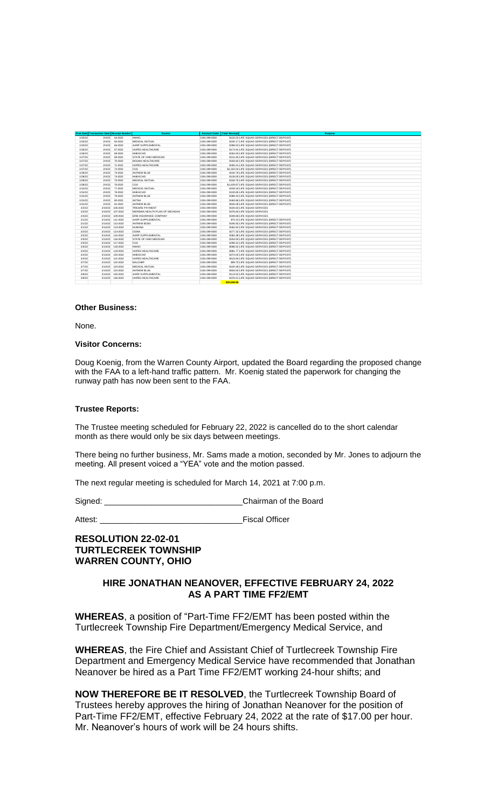|         | <b>Post Date Transaction Date Receipt Number</b> |          | <b>Source</b>                    | <b>Account Code</b> | <b>Total Receipt</b><br>Purpose                 |
|---------|--------------------------------------------------|----------|----------------------------------|---------------------|-------------------------------------------------|
| 1/25/22 | 2/4/22                                           | 64-2022  | <b>HWHO</b>                      | 2191-299-0000       | \$132.52 LIFE SQUAD SERVICES (DIRECT DEPOSIT)   |
| 1/25/22 | 2/4/22                                           | 65-2022  | MEDICAL MUTUAL                   | 2191-299-0000       | \$240.17 LIFE SQUAD SERVICES (DIRECT DEPOSIT)   |
| 1/25/22 | 2/4/22                                           | 66-2022  | AARP SUPPLEMENTAL                | 2191-299-0000       | \$289.53 LIFE SQUAD SERVICES (DIRECT DEPOSIT)   |
| 1/26/22 | 2/4/22                                           | 67-2022  | UNITED HEALTHCARE                | 2191-299-0000       | \$174.91 LIFE SQUAD SERVICES (DIRECT DEPOSIT)   |
| 1/26/22 | 2/4/22                                           | 68-2022  | HNB-ECHO                         | 2191-299-0000       | \$264.00 LIFE SQUAD SERVICES (DIRECT DEPOSIT)   |
| 1/27/22 | 2/4/22                                           | 69-2022  | STATE OF OHIO MEDICAID           | 2191-299-0000       | \$131,60 LIFE SQUAD SERVICES (DIRECT DEPOSIT)   |
| 1/27/22 | 2/4/22                                           | 70-2022  | MOLINA HEALTHCARE                | 2191-299-0000       | \$333.82 LIFE SQUAD SERVICES (DIRECT DEPOSIT)   |
| 1/27/22 | 2/4/22                                           | 71-2022  | UNITED HEALTHCARE                | 2191-299-0000       | \$493.41 LIFE SQUAD SERVICES (DIRECT DEPOSIT)   |
| 1/27/22 | 2/4/22                                           | 72-2022  | CGS                              | 2191-299-0000       | \$2,162.04 LIFE SQUAD SERVICES (DIRECT DEPOSIT) |
| 1/28/22 | 2/4/22                                           | 73-2022  | ANTHEM BLUE                      | 2191-299-0000       | \$100.79 LIFE SQUAD SERVICES (DIRECT DEPOSIT)   |
| 1/28/22 | 2/4/22                                           | 74-2022  | HNB-ECHO                         | 2191-299-0000       | \$128.00 LIFE SQUAD SERVICES (DIRECT DEPOSIT)   |
| 1/28/22 | 2/4/22                                           | 75-2022  | MEDICAL MUTUAL                   | 2191-299-0000       | \$318.76 LIFE SQUAD SERVICES (DIRECT DEPOSIT)   |
| 1/28/22 | 2/4/22                                           | 76-2022  | CGS                              | 2191-299-0000       | \$1,629.87 LIFE SQUAD SERVICES (DIRECT DEPOSIT) |
| 1/31/22 | 2/4/22                                           | 77-2022  | MEDICAL MUTUAL                   | 2191-299-0000       | \$109.18 LIFE SQUAD SERVICES (DIRECT DEPOSIT)   |
| 1/31/22 | 2/4/22                                           | 78-2022  | HNB-ECHO                         | 2191-299-0000       | \$130.85 LIFE SQUAD SERVICES (DIRECT DEPOSIT)   |
| 1/31/22 | 2/4/22                                           | 79-2022  | ANTHEM BLUE                      | 2191-299-0000       | \$389.23 LIFE SQUAD SERVICES (DIRECT DEPOSIT)   |
| 1/31/22 | 2/4/22                                           | 80-2022  | <b>AETNA</b>                     | 2191-299-0000       | \$463,68 LIFE SQUAD SERVICES (DIRECT DEPOSIT)   |
| 1/31/22 | 2/4/22                                           | 81-2022  | <b>ANTHEM BLUE</b>               | 2191-299-0000       | \$645.08 LIFE SQUAD SERVICES (DIRECT DEPOSIT)   |
| 2/2/22  | 2/10/22                                          | 106-2022 | TRICARE PAYMENT                  | 2191-299-0000       | \$100.63 LIFE SQUAD SERVICES                    |
| 2/2/22  | 2/10/22                                          | 107-2022 | MERIDIAN HEALTH PLAN OF MICHIGAN | 2191-299-0000       | \$376.84 LIFE SQUAD SERVICES                    |
| 2/4/22  | 2/10/22                                          | 109-2022 | ERIE INSURANCE COMPANY           | 2191-299-0000       | \$349,68 LIFE SQUAD SERVICES                    |
| 2/1/22  | 2/14/22                                          | 111-2022 | AARP SUPPLEMENTAL                | 2191-299-0000       | \$75.10 LIFE SQUAD SERVICES (DIRECT DEPOSIT)    |
| 2/1/22  | 2/14/22                                          | 112-2022 | <b>ANTHEM BCBS</b>               | 2191-299-0000       | \$190.92 LIFE SQUAD SERVICES (DIRECT DEPOSIT)   |
| 2/1/22  | 2/14/22                                          | 113-2022 | <b>HI IMANA</b>                  | 2191-299-0000       | \$462.62 LIFE SQUAD SERVICES (DIRECT DEPOSIT)   |
| 2/2/22  | 2/14/22                                          | 114-2022 | CIGNA                            | 2191-299-0000       | \$277.32 LIFE SQUAD SERVICES (DIRECT DEPOSIT)   |
| 2/2/22  | 2/14/22                                          | 115-2022 | AARP SUPPLEMENTAL                | 2191-299-0000       | \$362.38 LIFE SQUAD SERVICES (DIRECT DEPOSIT)   |
| 2/3/22  | 2/14/22                                          | 116-2022 | STATE OF OHIO MEDICAID           | 2191-299-0000       | \$204.00 LIFE SQUAD SERVICES (DIRECT DEPOSIT)   |
| 2/3/22  | 2/14/22                                          | 117-2022 | CGS                              | 2191-299-0000       | \$298.31 LIFE SQUAD SERVICES (DIRECT DEPOSIT)   |
| 2/3/22  | 2/14/22                                          | 118-2022 | <b>HWHO</b>                      | 2191-299-0000       | \$686.52 LIFE SQUAD SERVICES (DIRECT DEPOSIT)   |
| 2/3/22  | 2/14/22                                          | 119-2022 | UNITED HEALTHCARE                | 2191-299-0000       | \$881.77 LIFE SQUAD SERVICES (DIRECT DEPOSIT)   |
| 2/4/22  | 2/14/22                                          | 120-2022 | HNB-ECHO                         | 2191-299-0000       | \$374.00 LIFE SQUAD SERVICES (DIRECT DEPOSIT)   |
| 2/4/22  | 2/14/22                                          | 121-2022 | UNITED HEALTHCARE                | 2191-299-0000       | \$513.94 LIFE SQUAD SERVICES (DIRECT DEPOSIT)   |
| 2/7/22  | 2/14/22                                          | 122-2022 | NAI CHRP                         | 2191-299-0000       | \$99,70 LIFE SQUAD SERVICES (DIRECT DEPOSIT)    |
| 2/7/22  | 2/14/22                                          | 123-2022 | MEDICAL MUTUAL                   | 2191-299-0000       | \$100.48 LIFE SQUAD SERVICES (DIRECT DEPOSIT)   |
| 2/7/22  | 2/14/22                                          | 124-2022 | <b>ANTHEM BLUE</b>               | 2191-299-0000       | \$834.50 LIFE SQUAD SERVICES (DIRECT DEPOSIT)   |
| 2/8/22  | 2/14/22                                          | 125-2022 | AARP SUPPLEMENTAL                | 2191-299-0000       | \$113.52 LIFE SQUAD SERVICES (DIRECT DEPOSIT)   |
| 2/8/22  | 2/14/22                                          | 126-2022 | UNITED HEALTHCARE                | 2191-299-0000       | \$376.51 LIFE SQUAD SERVICES (DIRECT DEPOSIT)   |
|         |                                                  |          |                                  |                     | \$20,558.95                                     |

#### **Other Business:**

None.

## **Visitor Concerns:**

Doug Koenig, from the Warren County Airport, updated the Board regarding the proposed change with the FAA to a left-hand traffic pattern. Mr. Koenig stated the paperwork for changing the runway path has now been sent to the FAA.

#### **Trustee Reports:**

The Trustee meeting scheduled for February 22, 2022 is cancelled do to the short calendar month as there would only be six days between meetings.

There being no further business, Mr. Sams made a motion, seconded by Mr. Jones to adjourn the meeting. All present voiced a "YEA" vote and the motion passed.

The next regular meeting is scheduled for March 14, 2021 at 7:00 p.m.

Signed: Chairman of the Board

Attest: \_\_\_\_\_\_\_\_\_\_\_\_\_\_\_\_\_\_\_\_\_\_\_\_\_\_\_\_\_\_\_\_Fiscal Officer

**RESOLUTION 22-02-01 TURTLECREEK TOWNSHIP WARREN COUNTY, OHIO**

## **HIRE JONATHAN NEANOVER, EFFECTIVE FEBRUARY 24, 2022 AS A PART TIME FF2/EMT**

**WHEREAS**, a position of "Part-Time FF2/EMT has been posted within the Turtlecreek Township Fire Department/Emergency Medical Service, and

**WHEREAS**, the Fire Chief and Assistant Chief of Turtlecreek Township Fire Department and Emergency Medical Service have recommended that Jonathan Neanover be hired as a Part Time FF2/EMT working 24-hour shifts; and

**NOW THEREFORE BE IT RESOLVED**, the Turtlecreek Township Board of Trustees hereby approves the hiring of Jonathan Neanover for the position of Part-Time FF2/EMT, effective February 24, 2022 at the rate of \$17.00 per hour. Mr. Neanover's hours of work will be 24 hours shifts.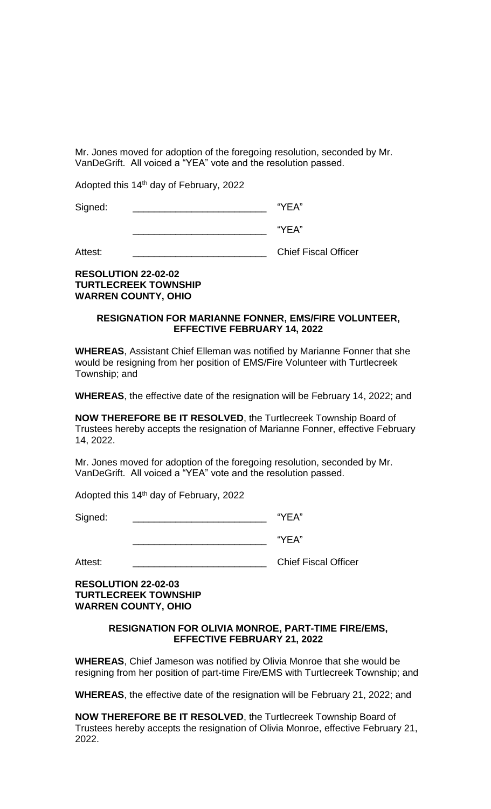Mr. Jones moved for adoption of the foregoing resolution, seconded by Mr. VanDeGrift. All voiced a "YEA" vote and the resolution passed.

Adopted this 14<sup>th</sup> day of February, 2022

Signed:  $\blacksquare$ 

 $\mathsf{``YEA''}$ 

Attest: \_\_\_\_\_\_\_\_\_\_\_\_\_\_\_\_\_\_\_\_\_\_\_\_\_ Chief Fiscal Officer

# **RESOLUTION 22-02-02 TURTLECREEK TOWNSHIP WARREN COUNTY, OHIO**

## **RESIGNATION FOR MARIANNE FONNER, EMS/FIRE VOLUNTEER, EFFECTIVE FEBRUARY 14, 2022**

**WHEREAS**, Assistant Chief Elleman was notified by Marianne Fonner that she would be resigning from her position of EMS/Fire Volunteer with Turtlecreek Township; and

**WHEREAS**, the effective date of the resignation will be February 14, 2022; and

**NOW THEREFORE BE IT RESOLVED**, the Turtlecreek Township Board of Trustees hereby accepts the resignation of Marianne Fonner, effective February 14, 2022.

Mr. Jones moved for adoption of the foregoing resolution, seconded by Mr. VanDeGrift. All voiced a "YEA" vote and the resolution passed.

Adopted this 14th day of February, 2022

Signed: We will be a set of the set of the set of the set of the set of the set of the set of the set of the set of the set of the set of the set of the set of the set of the set of the set of the set of the set of the set

 $\mathsf{``YEA''}$ 

Attest: \_\_\_\_\_\_\_\_\_\_\_\_\_\_\_\_\_\_\_\_\_\_\_\_\_ Chief Fiscal Officer

**RESOLUTION 22-02-03 TURTLECREEK TOWNSHIP WARREN COUNTY, OHIO**

## **RESIGNATION FOR OLIVIA MONROE, PART-TIME FIRE/EMS, EFFECTIVE FEBRUARY 21, 2022**

**WHEREAS**, Chief Jameson was notified by Olivia Monroe that she would be resigning from her position of part-time Fire/EMS with Turtlecreek Township; and

**WHEREAS**, the effective date of the resignation will be February 21, 2022; and

**NOW THEREFORE BE IT RESOLVED**, the Turtlecreek Township Board of Trustees hereby accepts the resignation of Olivia Monroe, effective February 21, 2022.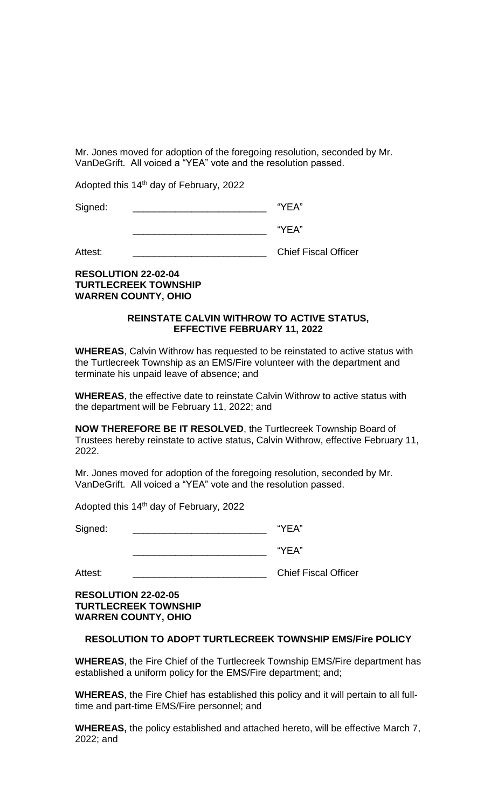Mr. Jones moved for adoption of the foregoing resolution, seconded by Mr. VanDeGrift. All voiced a "YEA" vote and the resolution passed.

Adopted this 14<sup>th</sup> day of February, 2022

Signed:  $\blacksquare$ 

\_\_\_\_\_\_\_\_\_\_\_\_\_\_\_\_\_\_\_\_\_\_\_\_\_ "YEA"

Attest: \_\_\_\_\_\_\_\_\_\_\_\_\_\_\_\_\_\_\_\_\_\_\_\_\_ Chief Fiscal Officer

# **RESOLUTION 22-02-04 TURTLECREEK TOWNSHIP WARREN COUNTY, OHIO**

## **REINSTATE CALVIN WITHROW TO ACTIVE STATUS, EFFECTIVE FEBRUARY 11, 2022**

**WHEREAS**, Calvin Withrow has requested to be reinstated to active status with the Turtlecreek Township as an EMS/Fire volunteer with the department and terminate his unpaid leave of absence; and

**WHEREAS**, the effective date to reinstate Calvin Withrow to active status with the department will be February 11, 2022; and

**NOW THEREFORE BE IT RESOLVED**, the Turtlecreek Township Board of Trustees hereby reinstate to active status, Calvin Withrow, effective February 11, 2022.

Mr. Jones moved for adoption of the foregoing resolution, seconded by Mr. VanDeGrift. All voiced a "YEA" vote and the resolution passed.

Adopted this 14th day of February, 2022

Signed:  $\blacksquare$ 

\_\_\_\_\_\_\_\_\_\_\_\_\_\_\_\_\_\_\_\_\_\_\_\_\_ "YEA"

Attest: **Attest: Attest: Attest: Attest: Chief Fiscal Officer** 

**RESOLUTION 22-02-05 TURTLECREEK TOWNSHIP WARREN COUNTY, OHIO**

## **RESOLUTION TO ADOPT TURTLECREEK TOWNSHIP EMS/Fire POLICY**

**WHEREAS**, the Fire Chief of the Turtlecreek Township EMS/Fire department has established a uniform policy for the EMS/Fire department; and;

**WHEREAS**, the Fire Chief has established this policy and it will pertain to all fulltime and part-time EMS/Fire personnel; and

**WHEREAS,** the policy established and attached hereto, will be effective March 7, 2022; and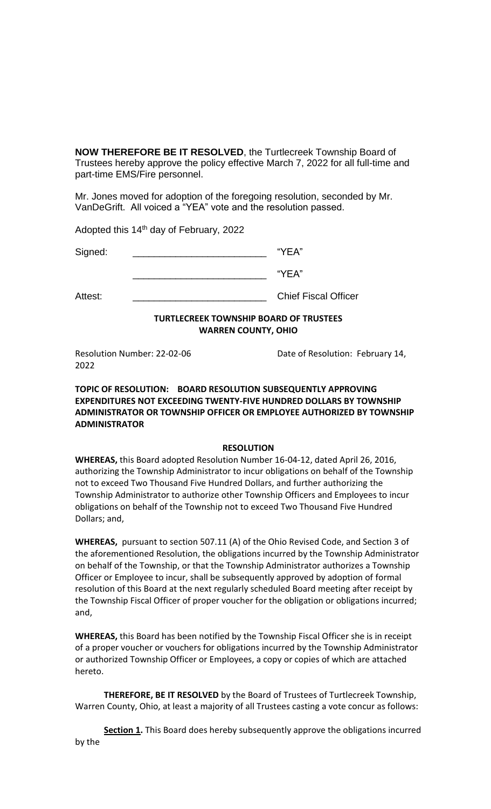**NOW THEREFORE BE IT RESOLVED**, the Turtlecreek Township Board of Trustees hereby approve the policy effective March 7, 2022 for all full-time and part-time EMS/Fire personnel.

Mr. Jones moved for adoption of the foregoing resolution, seconded by Mr. VanDeGrift. All voiced a "YEA" vote and the resolution passed.

Adopted this 14<sup>th</sup> day of February, 2022

Signed:  $\blacksquare$ 

 $"YEA"$ 

Attest: \_\_\_\_\_\_\_\_\_\_\_\_\_\_\_\_\_\_\_\_\_\_\_\_\_\_\_\_\_\_\_\_\_\_\_Chief Fiscal Officer

# **TURTLECREEK TOWNSHIP BOARD OF TRUSTEES WARREN COUNTY, OHIO**

2022

Resolution Number: 22-02-06 Date of Resolution: February 14,

## **TOPIC OF RESOLUTION: BOARD RESOLUTION SUBSEQUENTLY APPROVING EXPENDITURES NOT EXCEEDING TWENTY-FIVE HUNDRED DOLLARS BY TOWNSHIP ADMINISTRATOR OR TOWNSHIP OFFICER OR EMPLOYEE AUTHORIZED BY TOWNSHIP ADMINISTRATOR**

## **RESOLUTION**

**WHEREAS,** this Board adopted Resolution Number 16-04-12, dated April 26, 2016, authorizing the Township Administrator to incur obligations on behalf of the Township not to exceed Two Thousand Five Hundred Dollars, and further authorizing the Township Administrator to authorize other Township Officers and Employees to incur obligations on behalf of the Township not to exceed Two Thousand Five Hundred Dollars; and,

**WHEREAS,** pursuant to section 507.11 (A) of the Ohio Revised Code, and Section 3 of the aforementioned Resolution, the obligations incurred by the Township Administrator on behalf of the Township, or that the Township Administrator authorizes a Township Officer or Employee to incur, shall be subsequently approved by adoption of formal resolution of this Board at the next regularly scheduled Board meeting after receipt by the Township Fiscal Officer of proper voucher for the obligation or obligations incurred; and,

**WHEREAS,** this Board has been notified by the Township Fiscal Officer she is in receipt of a proper voucher or vouchers for obligations incurred by the Township Administrator or authorized Township Officer or Employees, a copy or copies of which are attached hereto.

**THEREFORE, BE IT RESOLVED** by the Board of Trustees of Turtlecreek Township, Warren County, Ohio, at least a majority of all Trustees casting a vote concur as follows:

**Section 1.** This Board does hereby subsequently approve the obligations incurred by the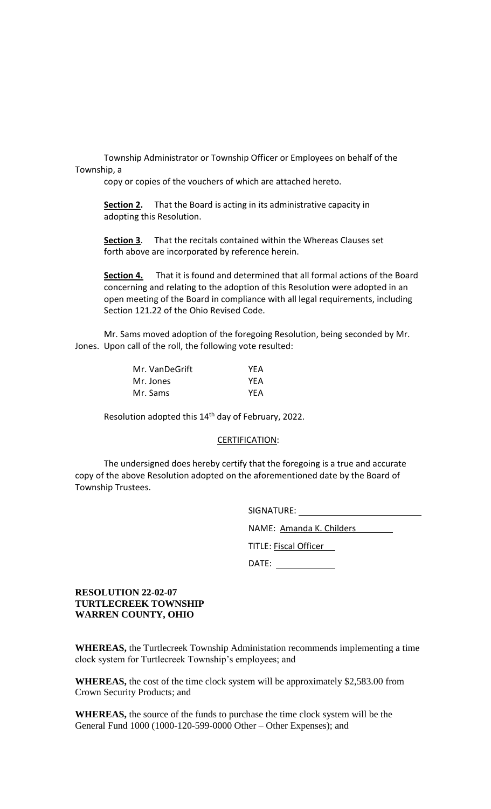Township Administrator or Township Officer or Employees on behalf of the Township, a

copy or copies of the vouchers of which are attached hereto.

**Section 2.** That the Board is acting in its administrative capacity in adopting this Resolution.

**Section 3**. That the recitals contained within the Whereas Clauses set forth above are incorporated by reference herein.

**Section 4.** That it is found and determined that all formal actions of the Board concerning and relating to the adoption of this Resolution were adopted in an open meeting of the Board in compliance with all legal requirements, including Section 121.22 of the Ohio Revised Code.

Mr. Sams moved adoption of the foregoing Resolution, being seconded by Mr. Jones. Upon call of the roll, the following vote resulted:

| Mr. VanDeGrift | <b>YEA</b> |
|----------------|------------|
| Mr. Jones      | YEA        |
| Mr. Sams       | YEA        |

Resolution adopted this 14<sup>th</sup> day of February, 2022.

## CERTIFICATION:

The undersigned does hereby certify that the foregoing is a true and accurate copy of the above Resolution adopted on the aforementioned date by the Board of Township Trustees.

| SIGNATURE:                   |  |  |  |  |
|------------------------------|--|--|--|--|
| NAME: Amanda K. Childers     |  |  |  |  |
| <b>TITLE: Fiscal Officer</b> |  |  |  |  |
| DATE:                        |  |  |  |  |
|                              |  |  |  |  |

## **RESOLUTION 22-02-07 TURTLECREEK TOWNSHIP WARREN COUNTY, OHIO**

**WHEREAS,** the Turtlecreek Township Administation recommends implementing a time clock system for Turtlecreek Township's employees; and

**WHEREAS,** the cost of the time clock system will be approximately \$2,583.00 from Crown Security Products; and

**WHEREAS,** the source of the funds to purchase the time clock system will be the General Fund 1000 (1000-120-599-0000 Other – Other Expenses); and